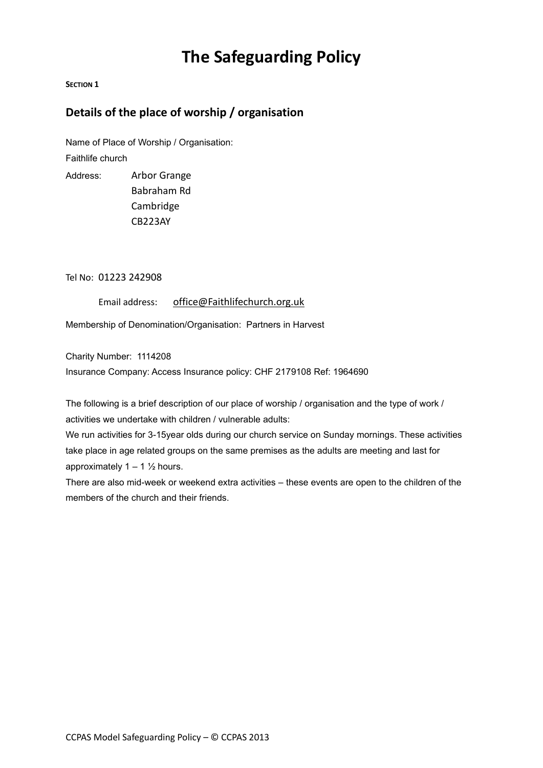# **The Safeguarding Policy**

#### **SECTION 1**

## **Details of the place of worship / organisation**

Name of Place of Worship / Organisation: Faithlife church

Address: Arbor Grange Babraham Rd Cambridge CB223AY

Tel No: 01223 242908

Email address: [office@Faithlifechurch.org.uk](mailto:office@Faithlifechurch.org.uk)

Membership of Denomination/Organisation: Partners in Harvest

Charity Number: 1114208

Insurance Company: Access Insurance policy: CHF 2179108 Ref: 1964690

The following is a brief description of our place of worship / organisation and the type of work / activities we undertake with children / vulnerable adults:

We run activities for 3-15year olds during our church service on Sunday mornings. These activities take place in age related groups on the same premises as the adults are meeting and last for approximately  $1 - 1$   $\frac{1}{2}$  hours.

There are also mid-week or weekend extra activities – these events are open to the children of the members of the church and their friends.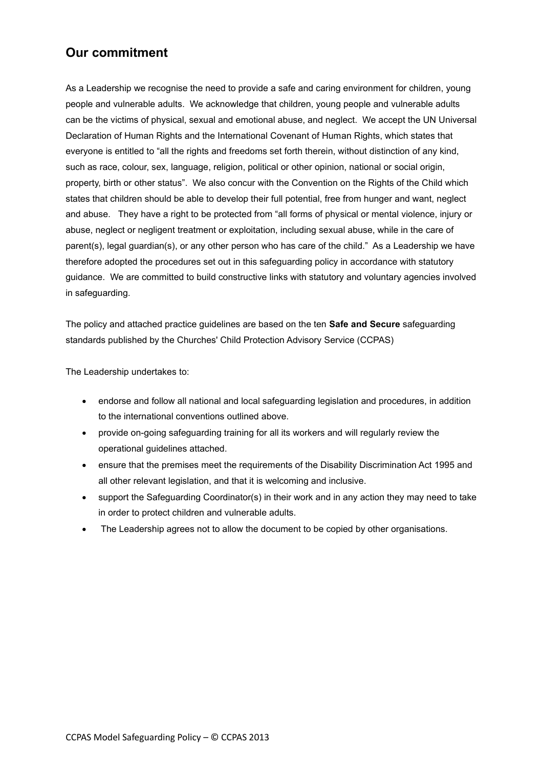## **Our commitment**

As a Leadership we recognise the need to provide a safe and caring environment for children, young people and vulnerable adults. We acknowledge that children, young people and vulnerable adults can be the victims of physical, sexual and emotional abuse, and neglect. We accept the UN Universal Declaration of Human Rights and the International Covenant of Human Rights, which states that everyone is entitled to "all the rights and freedoms set forth therein, without distinction of any kind, such as race, colour, sex, language, religion, political or other opinion, national or social origin, property, birth or other status". We also concur with the Convention on the Rights of the Child which states that children should be able to develop their full potential, free from hunger and want, neglect and abuse. They have a right to be protected from "all forms of physical or mental violence, injury or abuse, neglect or negligent treatment or exploitation, including sexual abuse, while in the care of parent(s), legal guardian(s), or any other person who has care of the child." As a Leadership we have therefore adopted the procedures set out in this safeguarding policy in accordance with statutory guidance. We are committed to build constructive links with statutory and voluntary agencies involved in safeguarding.

The policy and attached practice guidelines are based on the ten **Safe and Secure** safeguarding standards published by the Churches' Child Protection Advisory Service (CCPAS)

The Leadership undertakes to:

- endorse and follow all national and local safeguarding legislation and procedures, in addition to the international conventions outlined above.
- provide on-going safeguarding training for all its workers and will regularly review the operational guidelines attached.
- ensure that the premises meet the requirements of the Disability Discrimination Act 1995 and all other relevant legislation, and that it is welcoming and inclusive.
- support the Safeguarding Coordinator(s) in their work and in any action they may need to take in order to protect children and vulnerable adults.
- The Leadership agrees not to allow the document to be copied by other organisations.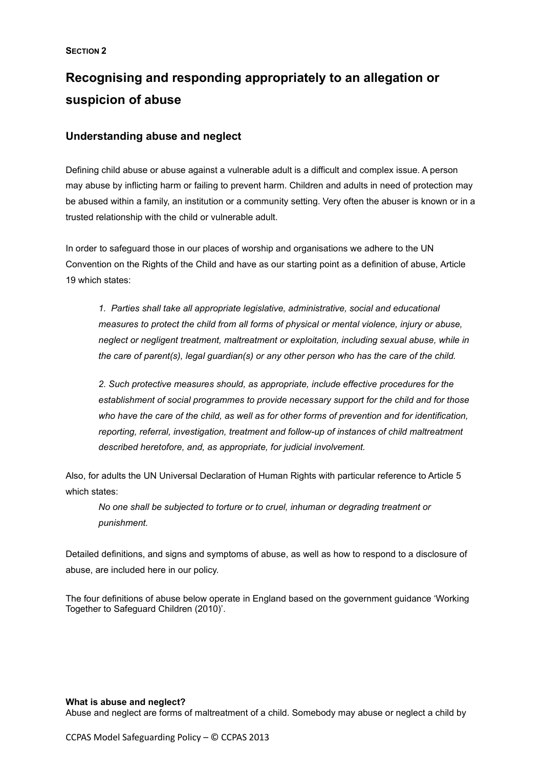# **Recognising and responding appropriately to an allegation or suspicion of abuse**

## **Understanding abuse and neglect**

Defining child abuse or abuse against a vulnerable adult is a difficult and complex issue. A person may abuse by inflicting harm or failing to prevent harm. Children and adults in need of protection may be abused within a family, an institution or a community setting. Very often the abuser is known or in a trusted relationship with the child or vulnerable adult.

In order to safeguard those in our places of worship and organisations we adhere to the UN Convention on the Rights of the Child and have as our starting point as a definition of abuse, Article 19 which states:

*1. Parties shall take all appropriate legislative, administrative, social and educational measures to protect the child from all forms of physical or mental violence, injury or abuse, neglect or negligent treatment, maltreatment or exploitation, including sexual abuse, while in the care of parent(s), legal guardian(s) or any other person who has the care of the child.*

*2. Such protective measures should, as appropriate, include effective procedures for the establishment of social programmes to provide necessary support for the child and for those who have the care of the child, as well as for other forms of prevention and for identification, reporting, referral, investigation, treatment and follow-up of instances of child maltreatment described heretofore, and, as appropriate, for judicial involvement.*

Also, for adults the UN Universal Declaration of Human Rights with particular reference to Article 5 which states:

*No one shall be subjected to torture or to cruel, inhuman or degrading treatment or punishment.*

Detailed definitions, and signs and symptoms of abuse, as well as how to respond to a disclosure of abuse, are included here in our policy.

The four definitions of abuse below operate in England based on the government guidance 'Working Together to Safeguard Children (2010)'.

#### **What is abuse and neglect?**

Abuse and neglect are forms of maltreatment of a child. Somebody may abuse or neglect a child by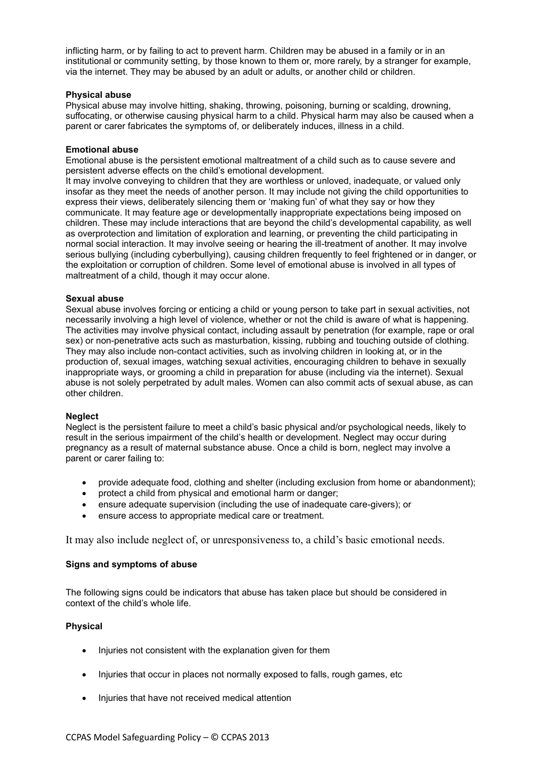inflicting harm, or by failing to act to prevent harm. Children may be abused in a family or in an institutional or community setting, by those known to them or, more rarely, by a stranger for example, via the internet. They may be abused by an adult or adults, or another child or children.

#### **Physical abuse**

Physical abuse may involve hitting, shaking, throwing, poisoning, burning or scalding, drowning, suffocating, or otherwise causing physical harm to a child. Physical harm may also be caused when a parent or carer fabricates the symptoms of, or deliberately induces, illness in a child.

#### **Emotional abuse**

Emotional abuse is the persistent emotional maltreatment of a child such as to cause severe and persistent adverse effects on the child's emotional development.

It may involve conveying to children that they are worthless or unloved, inadequate, or valued only insofar as they meet the needs of another person. It may include not giving the child opportunities to express their views, deliberately silencing them or 'making fun' of what they say or how they communicate. It may feature age or developmentally inappropriate expectations being imposed on children. These may include interactions that are beyond the child's developmental capability, as well as overprotection and limitation of exploration and learning, or preventing the child participating in normal social interaction. It may involve seeing or hearing the ill-treatment of another. It may involve serious bullying (including cyberbullying), causing children frequently to feel frightened or in danger, or the exploitation or corruption of children. Some level of emotional abuse is involved in all types of maltreatment of a child, though it may occur alone.

#### **Sexual abuse**

Sexual abuse involves forcing or enticing a child or young person to take part in sexual activities, not necessarily involving a high level of violence, whether or not the child is aware of what is happening. The activities may involve physical contact, including assault by penetration (for example, rape or oral sex) or non-penetrative acts such as masturbation, kissing, rubbing and touching outside of clothing. They may also include non-contact activities, such as involving children in looking at, or in the production of, sexual images, watching sexual activities, encouraging children to behave in sexually inappropriate ways, or grooming a child in preparation for abuse (including via the internet). Sexual abuse is not solely perpetrated by adult males. Women can also commit acts of sexual abuse, as can other children.

#### **Neglect**

Neglect is the persistent failure to meet a child's basic physical and/or psychological needs, likely to result in the serious impairment of the child's health or development. Neglect may occur during pregnancy as a result of maternal substance abuse. Once a child is born, neglect may involve a parent or carer failing to:

- provide adequate food, clothing and shelter (including exclusion from home or abandonment);
- protect a child from physical and emotional harm or danger;
- ensure adequate supervision (including the use of inadequate care-givers); or
- ensure access to appropriate medical care or treatment.

It may also include neglect of, or unresponsiveness to, a child's basic emotional needs.

#### **Signs and symptoms of abuse**

The following signs could be indicators that abuse has taken place but should be considered in context of the child's whole life.

## **Physical**

- Injuries not consistent with the explanation given for them
- Injuries that occur in places not normally exposed to falls, rough games, etc
- Injuries that have not received medical attention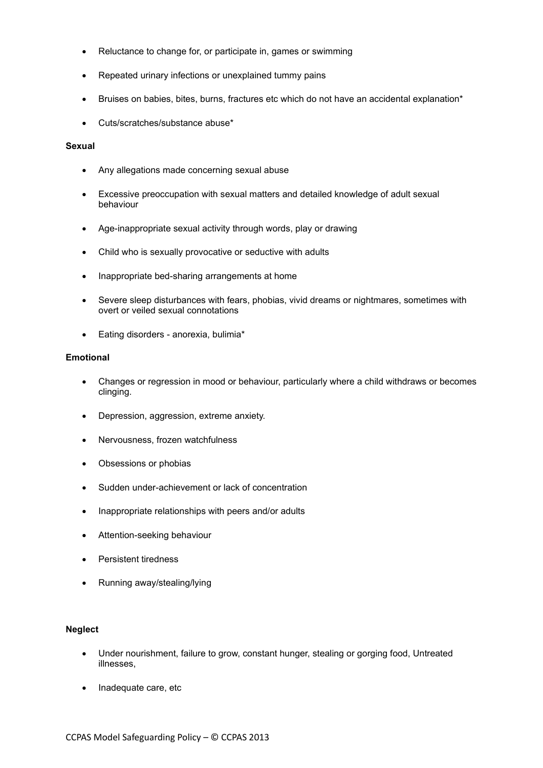- Reluctance to change for, or participate in, games or swimming
- Repeated urinary infections or unexplained tummy pains
- Bruises on babies, bites, burns, fractures etc which do not have an accidental explanation\*
- Cuts/scratches/substance abuse\*

#### **Sexual**

- Any allegations made concerning sexual abuse
- Excessive preoccupation with sexual matters and detailed knowledge of adult sexual behaviour
- Age-inappropriate sexual activity through words, play or drawing
- Child who is sexually provocative or seductive with adults
- Inappropriate bed-sharing arrangements at home
- Severe sleep disturbances with fears, phobias, vivid dreams or nightmares, sometimes with overt or veiled sexual connotations
- Eating disorders anorexia, bulimia\*

#### **Emotional**

- Changes or regression in mood or behaviour, particularly where a child withdraws or becomes clinging.
- Depression, aggression, extreme anxiety.
- Nervousness, frozen watchfulness
- Obsessions or phobias
- Sudden under-achievement or lack of concentration
- Inappropriate relationships with peers and/or adults
- Attention-seeking behaviour
- Persistent tiredness
- Running away/stealing/lying

#### **Neglect**

- Under nourishment, failure to grow, constant hunger, stealing or gorging food, Untreated illnesses,
- Inadequate care, etc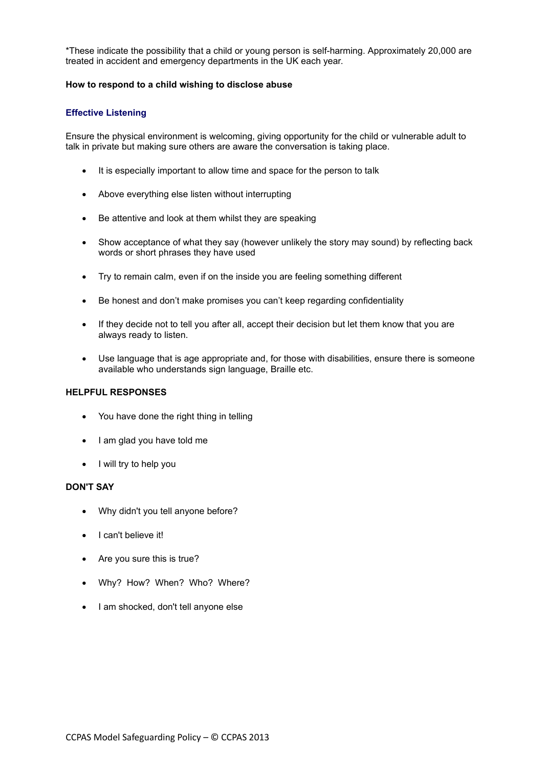\*These indicate the possibility that a child or young person is self-harming. Approximately 20,000 are treated in accident and emergency departments in the UK each year.

#### **How to respond to a child wishing to disclose abuse**

#### **Effective Listening**

Ensure the physical environment is welcoming, giving opportunity for the child or vulnerable adult to talk in private but making sure others are aware the conversation is taking place.

- It is especially important to allow time and space for the person to talk
- Above everything else listen without interrupting
- Be attentive and look at them whilst they are speaking
- Show acceptance of what they say (however unlikely the story may sound) by reflecting back words or short phrases they have used
- Try to remain calm, even if on the inside you are feeling something different
- Be honest and don't make promises you can't keep regarding confidentiality
- If they decide not to tell you after all, accept their decision but let them know that you are always ready to listen.
- Use language that is age appropriate and, for those with disabilities, ensure there is someone available who understands sign language, Braille etc.

#### **HELPFUL RESPONSES**

- You have done the right thing in telling
- I am glad you have told me
- I will try to help you

#### **DON'T SAY**

- Why didn't you tell anyone before?
- I can't believe it!
- Are you sure this is true?
- Why? How? When? Who? Where?
- I am shocked, don't tell anyone else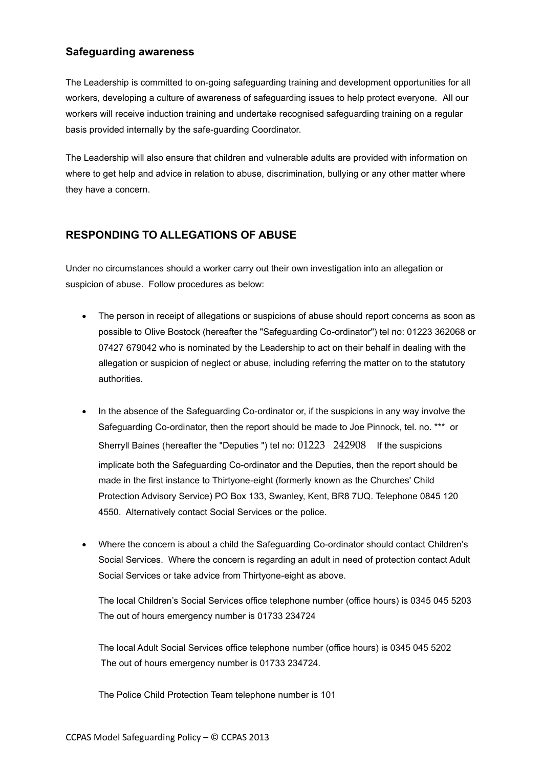## **Safeguarding awareness**

The Leadership is committed to on-going safeguarding training and development opportunities for all workers, developing a culture of awareness of safeguarding issues to help protect everyone. All our workers will receive induction training and undertake recognised safeguarding training on a regular basis provided internally by the safe-guarding Coordinator.

The Leadership will also ensure that children and vulnerable adults are provided with information on where to get help and advice in relation to abuse, discrimination, bullying or any other matter where they have a concern.

## **RESPONDING TO ALLEGATIONS OF ABUSE**

Under no circumstances should a worker carry out their own investigation into an allegation or suspicion of abuse. Follow procedures as below:

- The person in receipt of allegations or suspicions of abuse should report concerns as soon as possible to Olive Bostock (hereafter the "Safeguarding Co-ordinator") tel no: 01223 362068 or 07427 679042 who is nominated by the Leadership to act on their behalf in dealing with the allegation or suspicion of neglect or abuse, including referring the matter on to the statutory authorities.
- In the absence of the Safeguarding Co-ordinator or, if the suspicions in any way involve the Safeguarding Co-ordinator, then the report should be made to Joe Pinnock, tel. no. \*\*\* or Sherryll Baines (hereafter the "Deputies ") tel no: 01223 242908 If the suspicions implicate both the Safeguarding Co-ordinator and the Deputies, then the report should be made in the first instance to Thirtyone-eight (formerly known as the Churches' Child Protection Advisory Service) PO Box 133, Swanley, Kent, BR8 7UQ. Telephone 0845 120 4550. Alternatively contact Social Services or the police.
- Where the concern is about a child the Safeguarding Co-ordinator should contact Children's Social Services. Where the concern is regarding an adult in need of protection contact Adult Social Services or take advice from Thirtyone-eight as above.

The local Children's Social Services office telephone number (office hours) is 0345 045 5203 The out of hours emergency number is 01733 234724

The local Adult Social Services office telephone number (office hours) is 0345 045 5202 The out of hours emergency number is 01733 234724.

The Police Child Protection Team telephone number is 101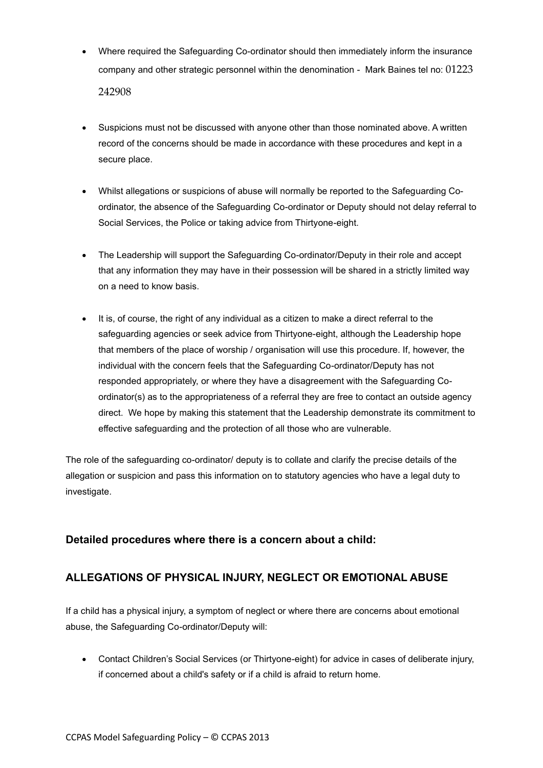- Where required the Safeguarding Co-ordinator should then immediately inform the insurance company and other strategic personnel within the denomination - Mark Baines tel no: 01223 242908
- Suspicions must not be discussed with anyone other than those nominated above. A written record of the concerns should be made in accordance with these procedures and kept in a secure place.
- Whilst allegations or suspicions of abuse will normally be reported to the Safeguarding Coordinator, the absence of the Safeguarding Co-ordinator or Deputy should not delay referral to Social Services, the Police or taking advice from Thirtyone-eight.
- The Leadership will support the Safeguarding Co-ordinator/Deputy in their role and accept that any information they may have in their possession will be shared in a strictly limited way on a need to know basis.
- It is, of course, the right of any individual as a citizen to make a direct referral to the safeguarding agencies or seek advice from Thirtyone-eight, although the Leadership hope that members of the place of worship / organisation will use this procedure. If, however, the individual with the concern feels that the Safeguarding Co-ordinator/Deputy has not responded appropriately, or where they have a disagreement with the Safeguarding Coordinator(s) as to the appropriateness of a referral they are free to contact an outside agency direct. We hope by making this statement that the Leadership demonstrate its commitment to effective safeguarding and the protection of all those who are vulnerable.

The role of the safeguarding co-ordinator/ deputy is to collate and clarify the precise details of the allegation or suspicion and pass this information on to statutory agencies who have a legal duty to investigate.

## **Detailed procedures where there is a concern about a child:**

## **ALLEGATIONS OF PHYSICAL INJURY, NEGLECT OR EMOTIONAL ABUSE**

If a child has a physical injury, a symptom of neglect or where there are concerns about emotional abuse, the Safeguarding Co-ordinator/Deputy will:

• Contact Children's Social Services (or Thirtyone-eight) for advice in cases of deliberate injury, if concerned about a child's safety or if a child is afraid to return home.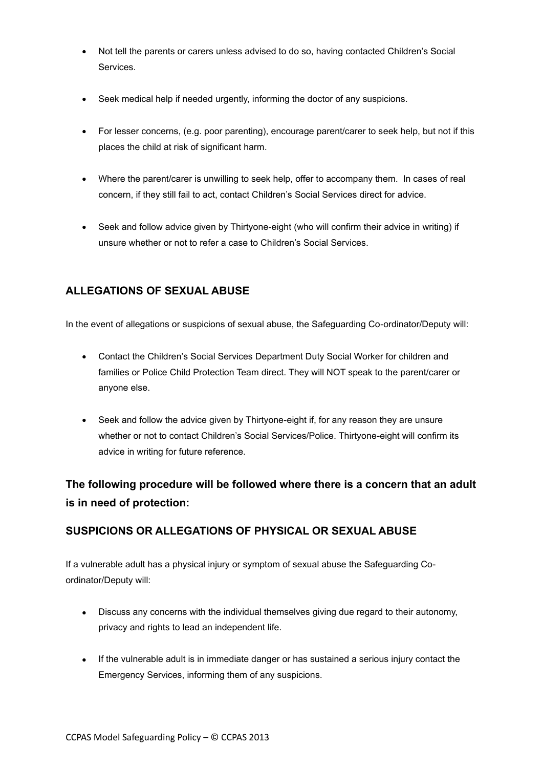- Not tell the parents or carers unless advised to do so, having contacted Children's Social Services.
- Seek medical help if needed urgently, informing the doctor of any suspicions.
- For lesser concerns, (e.g. poor parenting), encourage parent/carer to seek help, but not if this places the child at risk of significant harm.
- Where the parent/carer is unwilling to seek help, offer to accompany them. In cases of real concern, if they still fail to act, contact Children's Social Services direct for advice.
- Seek and follow advice given by Thirtyone-eight (who will confirm their advice in writing) if unsure whether or not to refer a case to Children's Social Services.

## **ALLEGATIONS OF SEXUAL ABUSE**

In the event of allegations or suspicions of sexual abuse, the Safeguarding Co-ordinator/Deputy will:

- Contact the Children's Social Services Department Duty Social Worker for children and families or Police Child Protection Team direct. They will NOT speak to the parent/carer or anyone else.
- Seek and follow the advice given by Thirtyone-eight if, for any reason they are unsure whether or not to contact Children's Social Services/Police. Thirtyone-eight will confirm its advice in writing for future reference.

# **The following procedure will be followed where there is a concern that an adult is in need of protection:**

## **SUSPICIONS OR ALLEGATIONS OF PHYSICAL OR SEXUAL ABUSE**

If a vulnerable adult has a physical injury or symptom of sexual abuse the Safeguarding Coordinator/Deputy will:

- Discuss any concerns with the individual themselves giving due regard to their autonomy, privacy and rights to lead an independent life.
- If the vulnerable adult is in immediate danger or has sustained a serious injury contact the Emergency Services, informing them of any suspicions.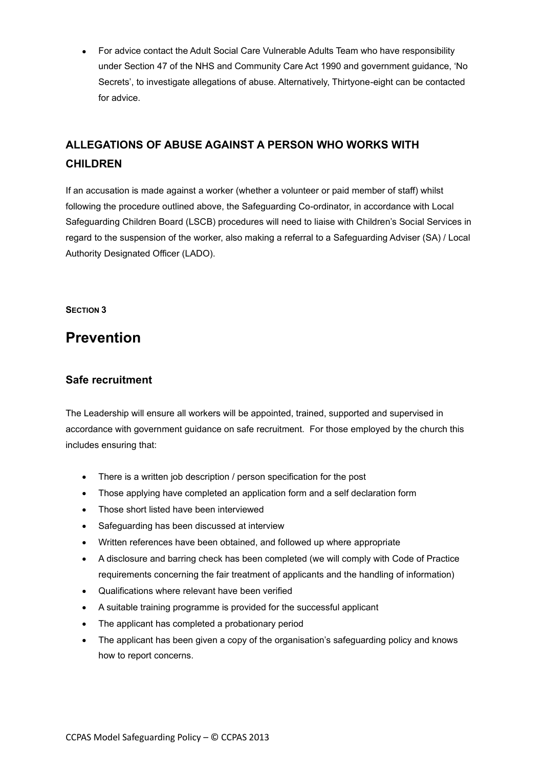• For advice contact the Adult Social Care Vulnerable Adults Team who have responsibility under Section 47 of the NHS and Community Care Act 1990 and government guidance, 'No Secrets', to investigate allegations of abuse. Alternatively, Thirtyone-eight can be contacted for advice.

# **ALLEGATIONS OF ABUSE AGAINST A PERSON WHO WORKS WITH CHILDREN**

If an accusation is made against a worker (whether a volunteer or paid member of staff) whilst following the procedure outlined above, the Safeguarding Co-ordinator, in accordance with Local Safeguarding Children Board (LSCB) procedures will need to liaise with Children's Social Services in regard to the suspension of the worker, also making a referral to a Safeguarding Adviser (SA) / Local Authority Designated Officer (LADO).

**SECTION 3**

# **Prevention**

## **Safe recruitment**

The Leadership will ensure all workers will be appointed, trained, supported and supervised in accordance with government guidance on safe recruitment. For those employed by the church this includes ensuring that:

- There is a written job description / person specification for the post
- Those applying have completed an application form and a self declaration form
- Those short listed have been interviewed
- Safeguarding has been discussed at interview
- Written references have been obtained, and followed up where appropriate
- A disclosure and barring check has been completed (we will comply with Code of Practice requirements concerning the fair treatment of applicants and the handling of information)
- Qualifications where relevant have been verified
- A suitable training programme is provided for the successful applicant
- The applicant has completed a probationary period
- The applicant has been given a copy of the organisation's safeguarding policy and knows how to report concerns.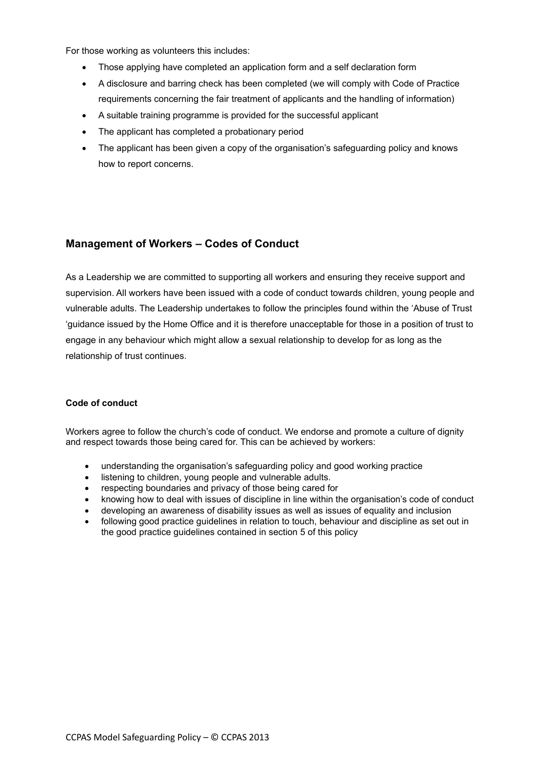For those working as volunteers this includes:

- Those applying have completed an application form and a self declaration form
- A disclosure and barring check has been completed (we will comply with Code of Practice requirements concerning the fair treatment of applicants and the handling of information)
- A suitable training programme is provided for the successful applicant
- The applicant has completed a probationary period
- The applicant has been given a copy of the organisation's safeguarding policy and knows how to report concerns.

## **Management of Workers – Codes of Conduct**

As a Leadership we are committed to supporting all workers and ensuring they receive support and supervision. All workers have been issued with a code of conduct towards children, young people and vulnerable adults. The Leadership undertakes to follow the principles found within the 'Abuse of Trust 'guidance issued by the Home Office and it is therefore unacceptable for those in a position of trust to engage in any behaviour which might allow a sexual relationship to develop for as long as the relationship of trust continues.

#### **Code of conduct**

Workers agree to follow the church's code of conduct. We endorse and promote a culture of dignity and respect towards those being cared for. This can be achieved by workers:

- understanding the organisation's safeguarding policy and good working practice
- listening to children, young people and vulnerable adults.
- respecting boundaries and privacy of those being cared for
- knowing how to deal with issues of discipline in line within the organisation's code of conduct
- developing an awareness of disability issues as well as issues of equality and inclusion
- following good practice guidelines in relation to touch, behaviour and discipline as set out in the good practice guidelines contained in section 5 of this policy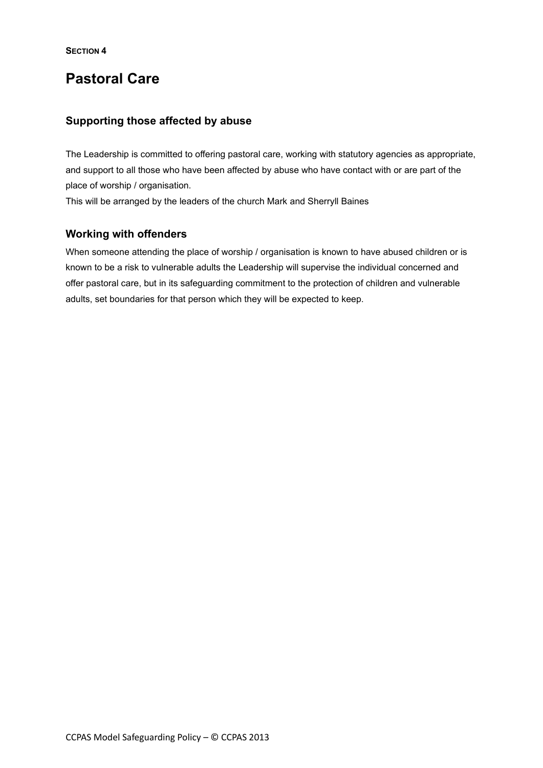# **Pastoral Care**

## **Supporting those affected by abuse**

The Leadership is committed to offering pastoral care, working with statutory agencies as appropriate, and support to all those who have been affected by abuse who have contact with or are part of the place of worship / organisation.

This will be arranged by the leaders of the church Mark and Sherryll Baines

## **Working with offenders**

When someone attending the place of worship / organisation is known to have abused children or is known to be a risk to vulnerable adults the Leadership will supervise the individual concerned and offer pastoral care, but in its safeguarding commitment to the protection of children and vulnerable adults, set boundaries for that person which they will be expected to keep.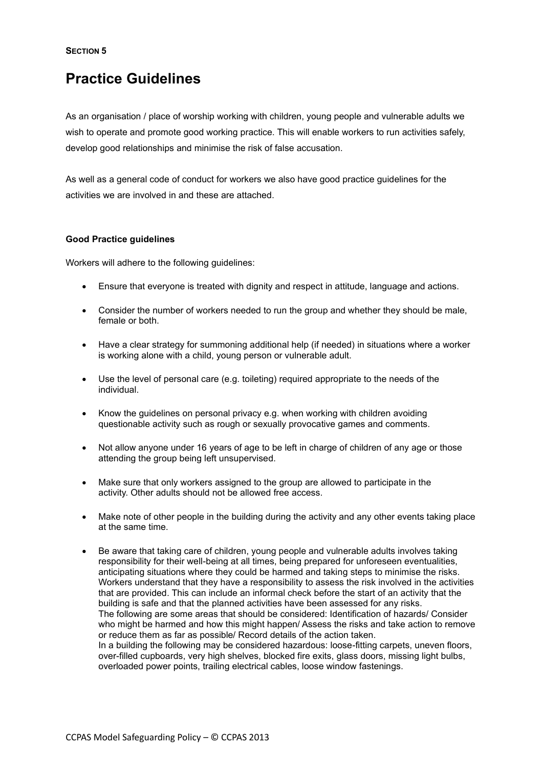**SECTION 5**

# **Practice Guidelines**

As an organisation / place of worship working with children, young people and vulnerable adults we wish to operate and promote good working practice. This will enable workers to run activities safely, develop good relationships and minimise the risk of false accusation.

As well as a general code of conduct for workers we also have good practice guidelines for the activities we are involved in and these are attached.

## **Good Practice guidelines**

Workers will adhere to the following guidelines:

- Ensure that everyone is treated with dignity and respect in attitude, language and actions.
- Consider the number of workers needed to run the group and whether they should be male. female or both
- Have a clear strategy for summoning additional help (if needed) in situations where a worker is working alone with a child, young person or vulnerable adult.
- Use the level of personal care (e.g. toileting) required appropriate to the needs of the individual.
- Know the guidelines on personal privacy e.g. when working with children avoiding questionable activity such as rough or sexually provocative games and comments.
- Not allow anyone under 16 years of age to be left in charge of children of any age or those attending the group being left unsupervised.
- Make sure that only workers assigned to the group are allowed to participate in the activity. Other adults should not be allowed free access.
- Make note of other people in the building during the activity and any other events taking place at the same time.
- Be aware that taking care of children, young people and vulnerable adults involves taking responsibility for their well-being at all times, being prepared for unforeseen eventualities, anticipating situations where they could be harmed and taking steps to minimise the risks. Workers understand that they have a responsibility to assess the risk involved in the activities that are provided. This can include an informal check before the start of an activity that the building is safe and that the planned activities have been assessed for any risks. The following are some areas that should be considered: Identification of hazards/ Consider who might be harmed and how this might happen/ Assess the risks and take action to remove or reduce them as far as possible/ Record details of the action taken. In a building the following may be considered hazardous: loose-fitting carpets, uneven floors, over-filled cupboards, very high shelves, blocked fire exits, glass doors, missing light bulbs, overloaded power points, trailing electrical cables, loose window fastenings.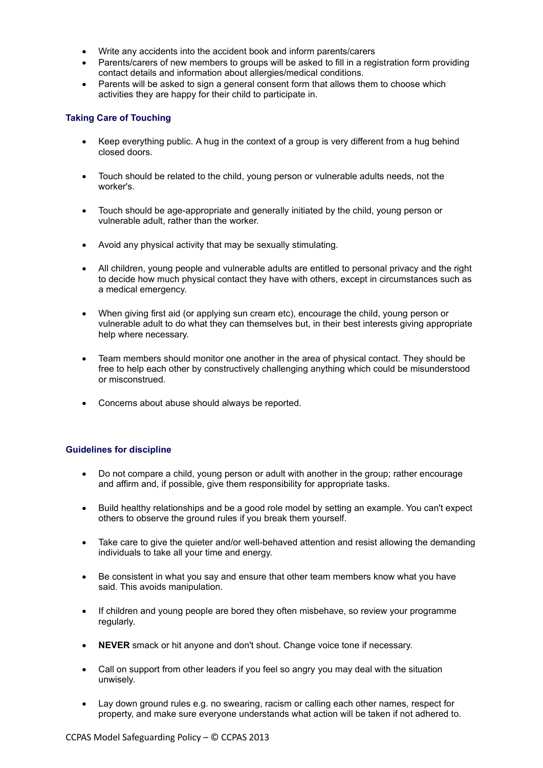- Write any accidents into the accident book and inform parents/carers
- Parents/carers of new members to groups will be asked to fill in a registration form providing contact details and information about allergies/medical conditions.
- Parents will be asked to sign a general consent form that allows them to choose which activities they are happy for their child to participate in.

#### **Taking Care of Touching**

- Keep everything public. A hug in the context of a group is very different from a hug behind closed doors.
- Touch should be related to the child, young person or vulnerable adults needs, not the worker's.
- Touch should be age-appropriate and generally initiated by the child, young person or vulnerable adult, rather than the worker.
- Avoid any physical activity that may be sexually stimulating.
- All children, young people and vulnerable adults are entitled to personal privacy and the right to decide how much physical contact they have with others, except in circumstances such as a medical emergency.
- When giving first aid (or applying sun cream etc), encourage the child, young person or vulnerable adult to do what they can themselves but, in their best interests giving appropriate help where necessary.
- Team members should monitor one another in the area of physical contact. They should be free to help each other by constructively challenging anything which could be misunderstood or misconstrued.
- Concerns about abuse should always be reported.

## **Guidelines for discipline**

- Do not compare a child, young person or adult with another in the group; rather encourage and affirm and, if possible, give them responsibility for appropriate tasks.
- Build healthy relationships and be a good role model by setting an example. You can't expect others to observe the ground rules if you break them yourself.
- Take care to give the quieter and/or well-behaved attention and resist allowing the demanding individuals to take all your time and energy.
- Be consistent in what you say and ensure that other team members know what you have said. This avoids manipulation.
- If children and young people are bored they often misbehave, so review your programme regularly.
- **NEVER** smack or hit anyone and don't shout. Change voice tone if necessary.
- Call on support from other leaders if you feel so angry you may deal with the situation unwisely.
- Lay down ground rules e.g. no swearing, racism or calling each other names, respect for property, and make sure everyone understands what action will be taken if not adhered to.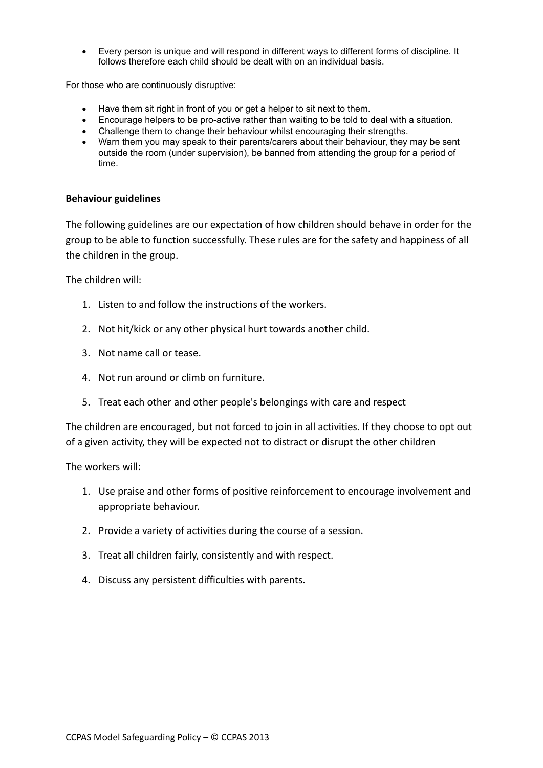• Every person is unique and will respond in different ways to different forms of discipline. It follows therefore each child should be dealt with on an individual basis.

For those who are continuously disruptive:

- Have them sit right in front of you or get a helper to sit next to them.
- Encourage helpers to be pro-active rather than waiting to be told to deal with a situation.
- Challenge them to change their behaviour whilst encouraging their strengths.
- Warn them you may speak to their parents/carers about their behaviour, they may be sent outside the room (under supervision), be banned from attending the group for a period of time.

## **Behaviour guidelines**

The following guidelines are our expectation of how children should behave in order for the group to be able to function successfully. These rules are for the safety and happiness of all the children in the group.

The children will:

- 1. Listen to and follow the instructions of the workers.
- 2. Not hit/kick or any other physical hurt towards another child.
- 3. Not name call or tease.
- 4. Not run around or climb on furniture.
- 5. Treat each other and other people's belongings with care and respect

The children are encouraged, but not forced to join in all activities. If they choose to opt out of a given activity, they will be expected not to distract or disrupt the other children

The workers will:

- 1. Use praise and other forms of positive reinforcement to encourage involvement and appropriate behaviour.
- 2. Provide a variety of activities during the course of a session.
- 3. Treat all children fairly, consistently and with respect.
- 4. Discuss any persistent difficulties with parents.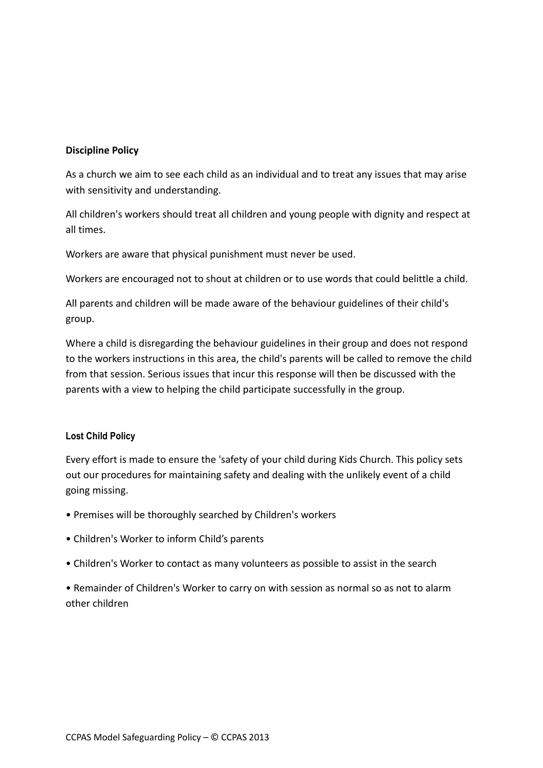## **Discipline Policy**

As a church we aim to see each child as an individual and to treat any issues that may arise with sensitivity and understanding.

All children's workers should treat all children and young people with dignity and respect at all times.

Workers are aware that physical punishment must never be used.

Workers are encouraged not to shout at children or to use words that could belittle a child.

All parents and children will be made aware of the behaviour guidelines of their child's group.

Where a child is disregarding the behaviour guidelines in their group and does not respond to the workers instructions in this area, the child's parents will be called to remove the child from that session. Serious issues that incur this response will then be discussed with the parents with a view to helping the child participate successfully in the group.

## **Lost Child Policy**

Every effort is made to ensure the 'safety of your child during Kids Church. This policy sets out our procedures for maintaining safety and dealing with the unlikely event of a child going missing.

- Premises will be thoroughly searched by Children's workers
- Children's Worker to inform Child's parents
- Children's Worker to contact as many volunteers as possible to assist in the search

• Remainder of Children's Worker to carry on with session as normal so as not to alarm other children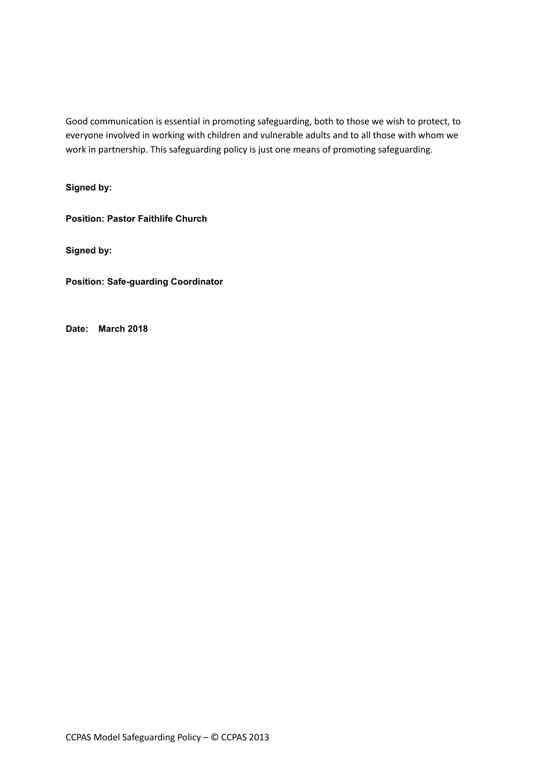Good communication is essential in promoting safeguarding, both to those we wish to protect, to everyone involved in working with children and vulnerable adults and to all those with whom we work in partnership. This safeguarding policy is just one means of promoting safeguarding.

**Signed by:** 

**Position: Pastor Faithlife Church**

**Signed by:**

**Position: Safe-guarding Coordinator**

**Date: March 2018**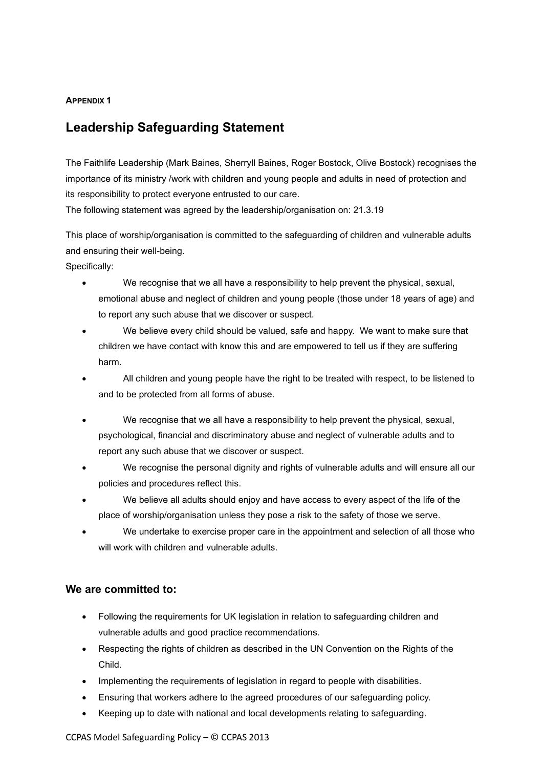## **APPENDIX 1**

## **Leadership Safeguarding Statement**

The Faithlife Leadership (Mark Baines, Sherryll Baines, Roger Bostock, Olive Bostock) recognises the importance of its ministry /work with children and young people and adults in need of protection and its responsibility to protect everyone entrusted to our care.

The following statement was agreed by the leadership/organisation on: 21.3.19

This place of worship/organisation is committed to the safeguarding of children and vulnerable adults and ensuring their well-being.

Specifically:

- We recognise that we all have a responsibility to help prevent the physical, sexual, emotional abuse and neglect of children and young people (those under 18 years of age) and to report any such abuse that we discover or suspect.
- We believe every child should be valued, safe and happy. We want to make sure that children we have contact with know this and are empowered to tell us if they are suffering harm.
- All children and young people have the right to be treated with respect, to be listened to and to be protected from all forms of abuse.
- We recognise that we all have a responsibility to help prevent the physical, sexual, psychological, financial and discriminatory abuse and neglect of vulnerable adults and to report any such abuse that we discover or suspect.
- We recognise the personal dignity and rights of vulnerable adults and will ensure all our policies and procedures reflect this.
- We believe all adults should enjoy and have access to every aspect of the life of the place of worship/organisation unless they pose a risk to the safety of those we serve.
- We undertake to exercise proper care in the appointment and selection of all those who will work with children and vulnerable adults.

## **We are committed to:**

- Following the requirements for UK legislation in relation to safeguarding children and vulnerable adults and good practice recommendations.
- Respecting the rights of children as described in the UN Convention on the Rights of the Child.
- Implementing the requirements of legislation in regard to people with disabilities.
- Ensuring that workers adhere to the agreed procedures of our safeguarding policy.
- Keeping up to date with national and local developments relating to safeguarding.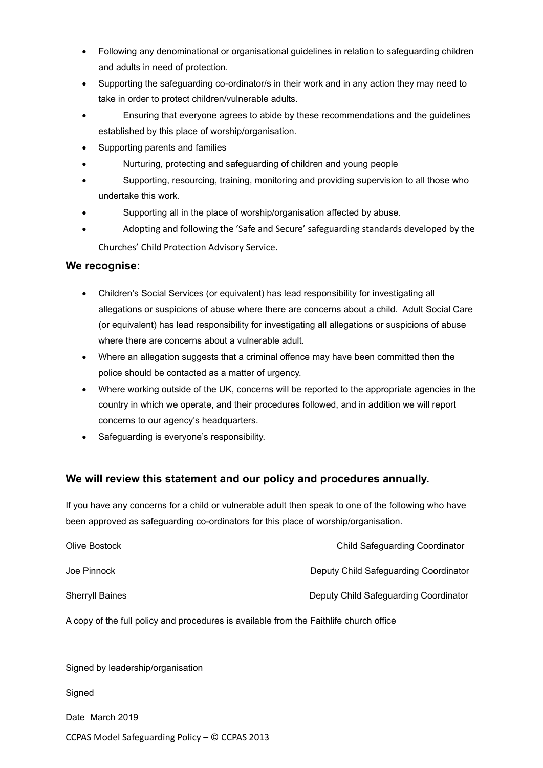- Following any denominational or organisational guidelines in relation to safeguarding children and adults in need of protection.
- Supporting the safeguarding co-ordinator/s in their work and in any action they may need to take in order to protect children/vulnerable adults.
- Ensuring that everyone agrees to abide by these recommendations and the guidelines established by this place of worship/organisation.
- Supporting parents and families
- Nurturing, protecting and safeguarding of children and young people
- Supporting, resourcing, training, monitoring and providing supervision to all those who undertake this work.
- Supporting all in the place of worship/organisation affected by abuse.
- Adopting and following the 'Safe and Secure' safeguarding standards developed by the Churches' Child Protection Advisory Service.

## **We recognise:**

- Children's Social Services (or equivalent) has lead responsibility for investigating all allegations or suspicions of abuse where there are concerns about a child. Adult Social Care (or equivalent) has lead responsibility for investigating all allegations or suspicions of abuse where there are concerns about a vulnerable adult.
- Where an allegation suggests that a criminal offence may have been committed then the police should be contacted as a matter of urgency.
- Where working outside of the UK, concerns will be reported to the appropriate agencies in the country in which we operate, and their procedures followed, and in addition we will report concerns to our agency's headquarters.
- Safeguarding is everyone's responsibility.

## **We will review this statement and our policy and procedures annually.**

If you have any concerns for a child or vulnerable adult then speak to one of the following who have been approved as safeguarding co-ordinators for this place of worship/organisation.

| Olive Bostock                                                                          | <b>Child Safeguarding Coordinator</b> |
|----------------------------------------------------------------------------------------|---------------------------------------|
| Joe Pinnock                                                                            | Deputy Child Safeguarding Coordinator |
| <b>Sherryll Baines</b>                                                                 | Deputy Child Safeguarding Coordinator |
| A copy of the full policy and procedures is available from the Faithlife church office |                                       |

Signed by leadership/organisation

**Signed** 

Date March 2019

CCPAS Model Safeguarding Policy – © CCPAS 2013